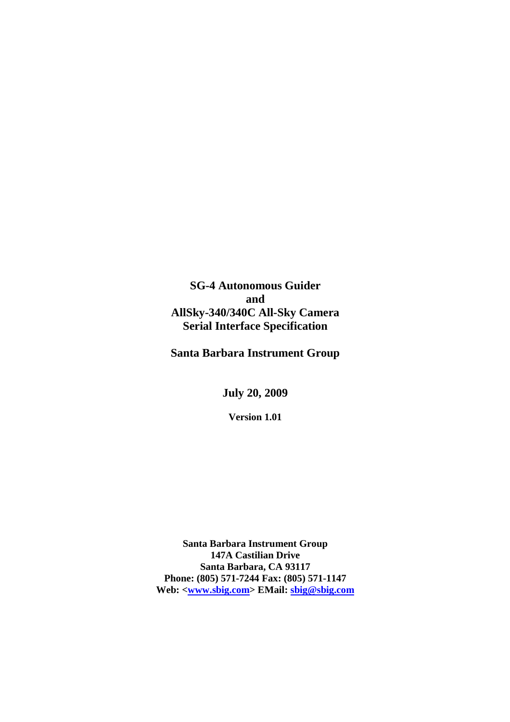**SG-4 Autonomous Guider and AllSky-340/340C All-Sky Camera Serial Interface Specification** 

**Santa Barbara Instrument Group** 

**July 20, 2009**

**Version 1.01** 

**Santa Barbara Instrument Group 147A Castilian Drive Santa Barbara, CA 93117 Phone: (805) 571-7244 Fax: (805) 571-1147 Web: <www.sbig.com> EMail: sbig@sbig.com**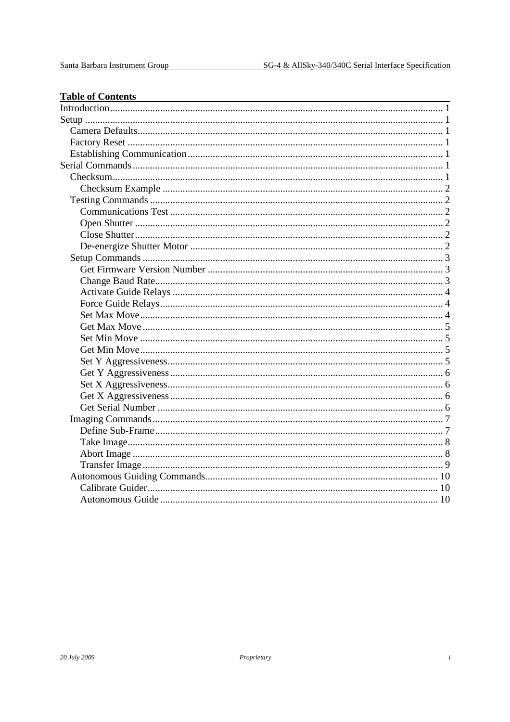| <b>Table of Contents</b> |  |
|--------------------------|--|
|                          |  |
|                          |  |
|                          |  |
|                          |  |
|                          |  |
|                          |  |
|                          |  |
|                          |  |
|                          |  |
|                          |  |
|                          |  |
|                          |  |
|                          |  |
|                          |  |
|                          |  |
|                          |  |
|                          |  |
|                          |  |
|                          |  |
|                          |  |
|                          |  |
|                          |  |
|                          |  |
|                          |  |
|                          |  |
|                          |  |
|                          |  |
|                          |  |
|                          |  |
|                          |  |
|                          |  |
|                          |  |
|                          |  |
|                          |  |
|                          |  |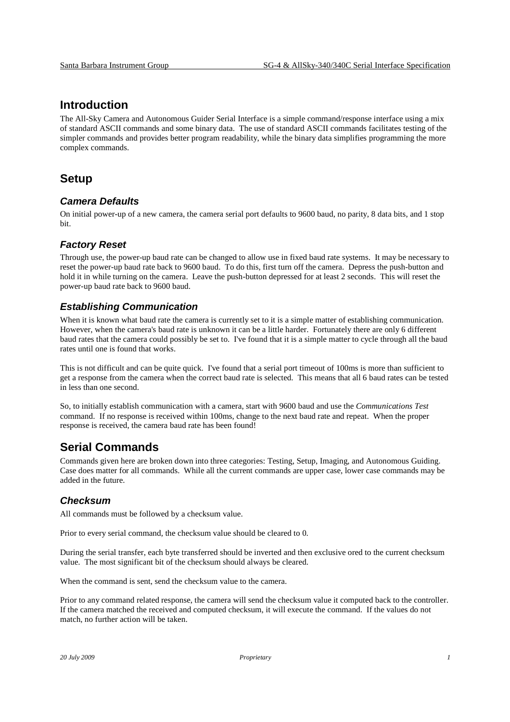# **Introduction**

The All-Sky Camera and Autonomous Guider Serial Interface is a simple command/response interface using a mix of standard ASCII commands and some binary data. The use of standard ASCII commands facilitates testing of the simpler commands and provides better program readability, while the binary data simplifies programming the more complex commands.

# **Setup**

### **Camera Defaults**

On initial power-up of a new camera, the camera serial port defaults to 9600 baud, no parity, 8 data bits, and 1 stop bit.

### **Factory Reset**

Through use, the power-up baud rate can be changed to allow use in fixed baud rate systems. It may be necessary to reset the power-up baud rate back to 9600 baud. To do this, first turn off the camera. Depress the push-button and hold it in while turning on the camera. Leave the push-button depressed for at least 2 seconds. This will reset the power-up baud rate back to 9600 baud.

### **Establishing Communication**

When it is known what baud rate the camera is currently set to it is a simple matter of establishing communication. However, when the camera's baud rate is unknown it can be a little harder. Fortunately there are only 6 different baud rates that the camera could possibly be set to. I've found that it is a simple matter to cycle through all the baud rates until one is found that works.

This is not difficult and can be quite quick. I've found that a serial port timeout of 100ms is more than sufficient to get a response from the camera when the correct baud rate is selected. This means that all 6 baud rates can be tested in less than one second.

So, to initially establish communication with a camera, start with 9600 baud and use the *Communications Test* command. If no response is received within 100ms, change to the next baud rate and repeat. When the proper response is received, the camera baud rate has been found!

# **Serial Commands**

Commands given here are broken down into three categories: Testing, Setup, Imaging, and Autonomous Guiding. Case does matter for all commands. While all the current commands are upper case, lower case commands may be added in the future.

### **Checksum**

All commands must be followed by a checksum value.

Prior to every serial command, the checksum value should be cleared to 0.

During the serial transfer, each byte transferred should be inverted and then exclusive ored to the current checksum value. The most significant bit of the checksum should always be cleared.

When the command is sent, send the checksum value to the camera.

Prior to any command related response, the camera will send the checksum value it computed back to the controller. If the camera matched the received and computed checksum, it will execute the command. If the values do not match, no further action will be taken.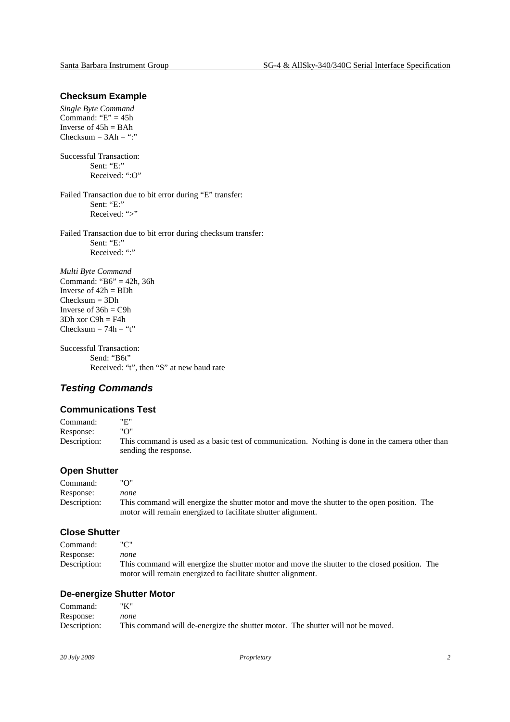#### **Checksum Example**

*Single Byte Command*  Command: " $E$ " = 45h Inverse of  $45h = BAh$  $Checksum = 3Ah =$ ":"

Successful Transaction: Sent: "E:" Received: ":O"

Failed Transaction due to bit error during "E" transfer: Sent: "E:" Received: ">"

Failed Transaction due to bit error during checksum transfer: Sent: "E:" Received: ":"

*Multi Byte Command*  Command: " $B6$ " = 42h, 36h Inverse of  $42h = BDh$ Checksum = 3Dh Inverse of  $36h = C9h$  $3Dh$  xor  $C9h = F4h$ Checksum  $= 74h = 't'$ 

Successful Transaction: Send: "B6t" Received: "t", then "S" at new baud rate

### **Testing Commands**

#### **Communications Test**

Command: "E"<br>Response: "O" Response: Description: This command is used as a basic test of communication. Nothing is done in the camera other than sending the response.

#### **Open Shutter**

Command: "O" Response: *none*  Description: This command will energize the shutter motor and move the shutter to the open position. The motor will remain energized to facilitate shutter alignment.

### **Close Shutter**

| Command:     |                                                                                               |  |
|--------------|-----------------------------------------------------------------------------------------------|--|
| Response:    | none                                                                                          |  |
| Description: | This command will energize the shutter motor and move the shutter to the closed position. The |  |
|              | motor will remain energized to facilitate shutter alignment.                                  |  |

#### **De-energize Shutter Motor**

| Command:     |                                                                                 |  |
|--------------|---------------------------------------------------------------------------------|--|
| Response:    | none                                                                            |  |
| Description: | This command will de-energize the shutter motor. The shutter will not be moved. |  |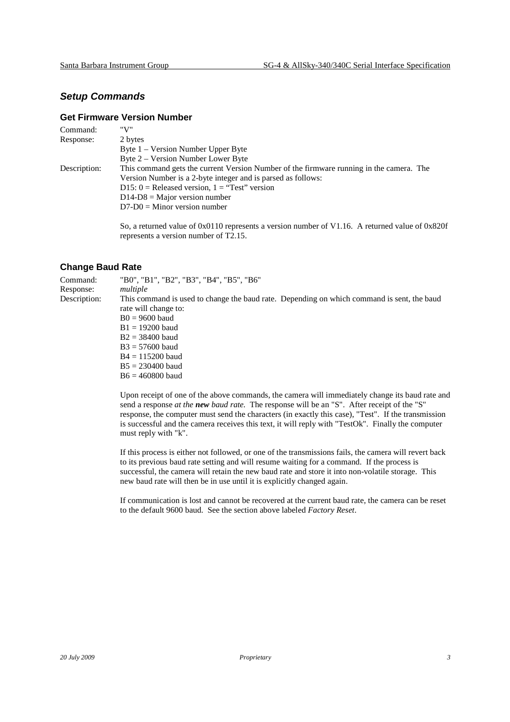### **Setup Commands**

### **Get Firmware Version Number**

| Command:     | "V"                                                                                     |
|--------------|-----------------------------------------------------------------------------------------|
| Response:    | 2 bytes                                                                                 |
|              | Byte $1$ – Version Number Upper Byte                                                    |
|              | Byte 2 – Version Number Lower Byte                                                      |
| Description: | This command gets the current Version Number of the firmware running in the camera. The |
|              | Version Number is a 2-byte integer and is parsed as follows:                            |
|              | D15: $0 =$ Released version, $1 =$ "Test" version                                       |
|              | $D14-D8 = Major version number$                                                         |
|              | $D7-D0 =$ Minor version number                                                          |
|              |                                                                                         |

 So, a returned value of 0x0110 represents a version number of V1.16. A returned value of 0x820f represents a version number of T2.15.

### **Change Baud Rate**

| Command:     | "B0", "B1", "B2", "B3", "B4", "B5", "B6"                                                                                                                                                                                                                                |
|--------------|-------------------------------------------------------------------------------------------------------------------------------------------------------------------------------------------------------------------------------------------------------------------------|
| Response:    | multiple                                                                                                                                                                                                                                                                |
| Description: | This command is used to change the baud rate. Depending on which command is sent, the baud<br>rate will change to:<br>$B0 = 9600$ baud<br>$B1 = 19200$ baud<br>$B2 = 38400$ baud<br>$B3 = 57600$ baud<br>$B4 = 115200$ baud<br>$B5 = 230400$ baud<br>$B6 = 460800$ baud |
|              |                                                                                                                                                                                                                                                                         |

 Upon receipt of one of the above commands, the camera will immediately change its baud rate and send a response *at the new baud rate.* The response will be an "S". After receipt of the "S" response, the computer must send the characters (in exactly this case), "Test". If the transmission is successful and the camera receives this text, it will reply with "TestOk". Finally the computer must reply with "k".

 If this process is either not followed, or one of the transmissions fails, the camera will revert back to its previous baud rate setting and will resume waiting for a command. If the process is successful, the camera will retain the new baud rate and store it into non-volatile storage. This new baud rate will then be in use until it is explicitly changed again.

 If communication is lost and cannot be recovered at the current baud rate, the camera can be reset to the default 9600 baud. See the section above labeled *Factory Reset*.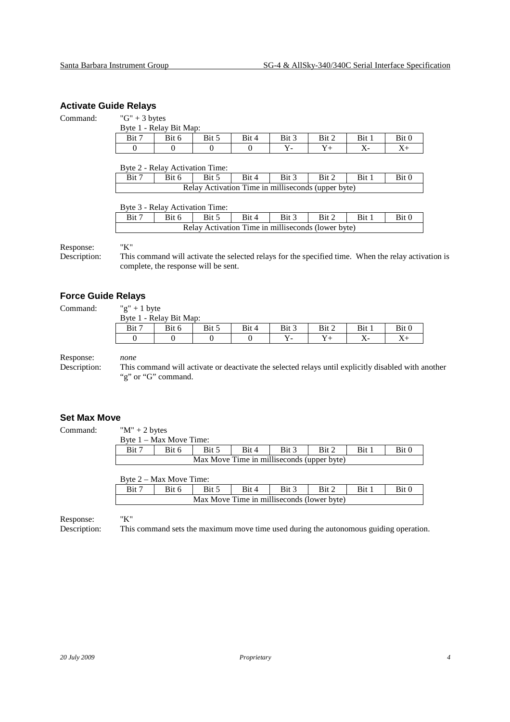### **Activate Guide Relays**

#### Command:  $"G" + 3 bytes$

|         | Byte 1 - Relay Bit Map: |       |       |       |       |       |       |
|---------|-------------------------|-------|-------|-------|-------|-------|-------|
| Bit $7$ | Bit 6                   | Bit 5 | Bit 4 | Bit 3 | Bit 2 | Bit 1 | Bit 0 |
|         |                         |       |       |       |       | A.    |       |

Byte 2 - Relay Activation Time:

| Bit 7 | Bit 6 | $\therefore$ I Bit 5 | $\overline{B}$ Bit 4 | Bit 3                                              | Bit 2 Bit 1 | Bit 0 |
|-------|-------|----------------------|----------------------|----------------------------------------------------|-------------|-------|
|       |       |                      |                      | Relay Activation Time in milliseconds (upper byte) |             |       |

Byte 3 - Relay Activation Time:

| --    |       |       |                                                    |       |       |       |
|-------|-------|-------|----------------------------------------------------|-------|-------|-------|
| Bit 7 | Bit 6 | Bit 4 | Bit 3                                              | Bit 2 | Bit : | Rit 0 |
|       |       |       | Relay Activation Time in milliseconds (lower byte) |       |       |       |

Response: "K"

Description: This command will activate the selected relays for the specified time. When the relay activation is complete, the response will be sent.

### **Force Guide Relays**

Command:

| "g" + 1 byte |                         |       |       |       |       |       |       |
|--------------|-------------------------|-------|-------|-------|-------|-------|-------|
|              | Byte 1 - Relay Bit Map: |       |       |       |       |       |       |
| Bit 7        | Bit 6                   | Bit 5 | Bit 4 | Bit 3 | Bit 2 | Bit 1 | Bit 0 |
|              |                         |       |       |       |       |       |       |

Response: *none* 

Description: This command will activate or deactivate the selected relays until explicitly disabled with another "g" or "G" command.

### **Set Max Move**

Command:  $\mathbb{M}^n + 2 \mathbb{N}$ 

| " $M$ " + 2 bytes         |  |
|---------------------------|--|
| $R_{V}$ ta 1 May Maya Tim |  |

|       | Byte $1 - Max Move Time$ : |                                            |       |       |       |       |       |
|-------|----------------------------|--------------------------------------------|-------|-------|-------|-------|-------|
| Bit 7 | Bit 6                      | Bit 5                                      | Bit 4 | Bit 3 | Bit 2 | Bit 1 | Bit 0 |
|       |                            | Max Move Time in milliseconds (upper byte) |       |       |       |       |       |

| Byte 2 – Max Move Time: |
|-------------------------|
|-------------------------|

| $\mathbf{v}$ vice $\mathbf{v}$<br>$1000 \times 1000$ |       |       |       |       |       |            |       |  |  |  |  |
|------------------------------------------------------|-------|-------|-------|-------|-------|------------|-------|--|--|--|--|
| Bit <sup>-</sup>                                     | Bit 6 | Bit 5 | Bit 4 | Bit 3 | Bit 2 | <b>Bit</b> | Bit 0 |  |  |  |  |
| Max Move Time in milliseconds (lower byte)           |       |       |       |       |       |            |       |  |  |  |  |

Response: "K"

Description: This command sets the maximum move time used during the autonomous guiding operation.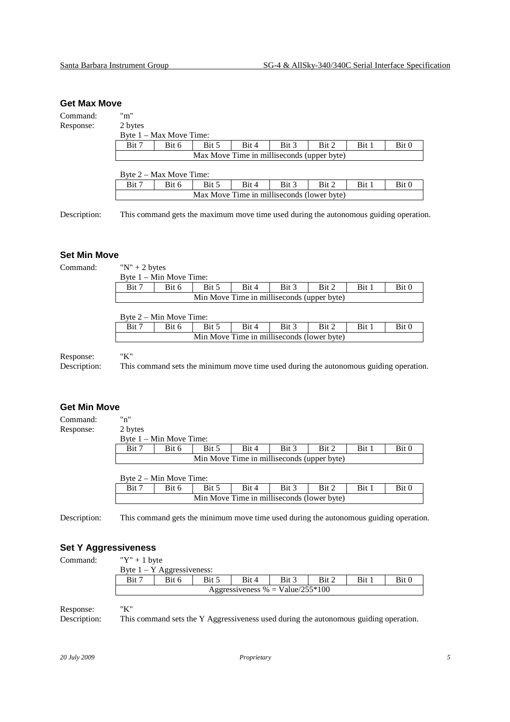#### **Get Max Move**

Command: "m" Response: 2 bytes

| Z UVICS                                                              |  |  |  |  |  |  |  |  |  |  |  |
|----------------------------------------------------------------------|--|--|--|--|--|--|--|--|--|--|--|
| Byte 1 – Max Move Time:                                              |  |  |  |  |  |  |  |  |  |  |  |
| Bit 2<br>Bit 3<br>Bit 7<br>Bit 0<br>Bit 4<br>Bit 1<br>Bit 5<br>Bit 6 |  |  |  |  |  |  |  |  |  |  |  |
| Max Move Time in milliseconds (upper byte)                           |  |  |  |  |  |  |  |  |  |  |  |

| Byte 2 – Max Move Time:                                              |  |  |  |  |  |  |  |  |  |  |
|----------------------------------------------------------------------|--|--|--|--|--|--|--|--|--|--|
| Bit 7<br>Bit 3<br>Bit 5<br>Bit 2<br>Bit 6<br>Bit 4<br>Bit 1<br>Bit 0 |  |  |  |  |  |  |  |  |  |  |
| Max Move Time in milliseconds (lower byte)                           |  |  |  |  |  |  |  |  |  |  |

Description: This command gets the maximum move time used during the autonomous guiding operation.

#### **Set Min Move**

Command: "N" + 2 bytes

| Bit 7                                      | Bit 6 | Bit 5 | Bit 4 | Bit 3 | Bit 2 | Bit 1 | Bit 0 |  |  |
|--------------------------------------------|-------|-------|-------|-------|-------|-------|-------|--|--|
| Min Move Time in milliseconds (upper byte) |       |       |       |       |       |       |       |  |  |

| Byte $2 - Min$ Move Time:                                            |  |  |  |  |  |  |  |  |  |  |
|----------------------------------------------------------------------|--|--|--|--|--|--|--|--|--|--|
| Bit 7<br>Bit 5<br>Bit 2<br>Bit 3<br>Bit 1<br>Bit 0<br>Bit 4<br>Bit 6 |  |  |  |  |  |  |  |  |  |  |
| Min Move Time in milliseconds (lower byte)                           |  |  |  |  |  |  |  |  |  |  |

# Response: "K"

Description: This command sets the minimum move time used during the autonomous guiding operation.

#### **Get Min Move**

Command: "n" Response:

| 2 bytes<br>Byte $1 - Min$ Move Time: |                                            |       |       |       |       |       |       |  |  |  |  |
|--------------------------------------|--------------------------------------------|-------|-------|-------|-------|-------|-------|--|--|--|--|
| Bit 7                                | Bit 6                                      | Bit 5 | Bit 4 | Bit 3 | Bit 2 | Bit 1 | Bit 0 |  |  |  |  |
|                                      | Min Move Time in milliseconds (upper byte) |       |       |       |       |       |       |  |  |  |  |

| $\mathbf{D}$ y to $\mathbf{L}$<br>$\cdots$ |       |       |       |       |       |     |       |  |  |  |  |
|--------------------------------------------|-------|-------|-------|-------|-------|-----|-------|--|--|--|--|
| Bit <sup>-</sup>                           | Bit 6 | Bit 5 | Bit 4 | Bit 3 | Bit 2 | Bit | Bit 0 |  |  |  |  |
| Min Move Time in milliseconds (lower byte) |       |       |       |       |       |     |       |  |  |  |  |

Description: This command gets the minimum move time used during the autonomous guiding operation.

### **Set Y Aggressiveness**

Command:  $"Y" + 1$  byte

|                                                                  | $1 \cdot 10$<br>Byte 1 – Y Aggressiveness: |  |  |  |  |  |  |  |  |  |
|------------------------------------------------------------------|--------------------------------------------|--|--|--|--|--|--|--|--|--|
| Bit 3<br><b>Bit</b><br>Bit 7<br>Bit C<br>Bit 5<br>Bit 6<br>Bit 2 |                                            |  |  |  |  |  |  |  |  |  |
|                                                                  | Aggressiveness % = Value/255 $*100$        |  |  |  |  |  |  |  |  |  |

Response: "K"

Description: This command sets the Y Aggressiveness used during the autonomous guiding operation.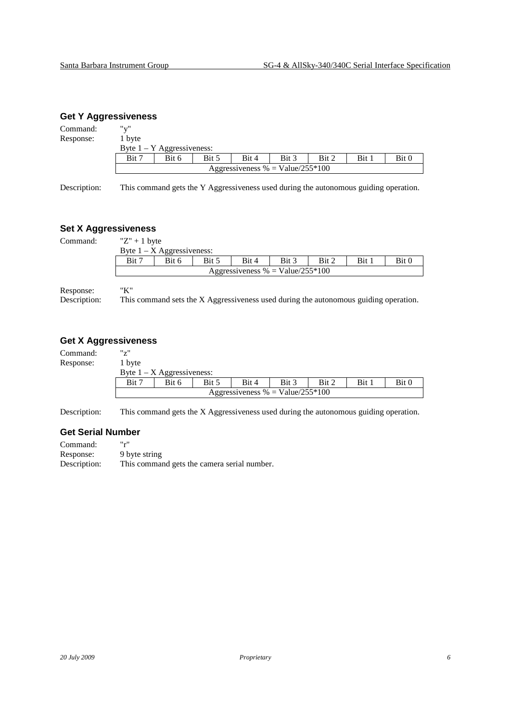### **Get Y Aggressiveness**

| Command:                    | "v"    |                                                                                      |       |                                     |       |       |       |       |  |
|-----------------------------|--------|--------------------------------------------------------------------------------------|-------|-------------------------------------|-------|-------|-------|-------|--|
| Response:                   | 1 byte |                                                                                      |       |                                     |       |       |       |       |  |
|                             |        | Byte $1 - Y$ Aggressiveness:                                                         |       |                                     |       |       |       |       |  |
|                             | Bit 7  | Bit 6                                                                                | Bit 5 | Bit 4                               | Bit 3 | Bit 2 | Bit 1 | Bit 0 |  |
|                             |        |                                                                                      |       | Aggressiveness % = Value/255 $*100$ |       |       |       |       |  |
| Description:                |        | This command gets the Y Aggressiveness used during the autonomous guiding operation. |       |                                     |       |       |       |       |  |
| <b>Set X Aggressiveness</b> |        |                                                                                      |       |                                     |       |       |       |       |  |

Command:  $"Z" + 1$  byte

| $\mathbf{u}$ + $\mathbf{v}$ y $\mathbf{v}$                           | Byte $1 - X$ Aggressiveness: |  |  |  |  |  |  |  |  |  |
|----------------------------------------------------------------------|------------------------------|--|--|--|--|--|--|--|--|--|
| Bit 7<br>Bit 3<br>Bit 1<br>Bit 2<br>Bit 0<br>Bit 5<br>Bit 4<br>Bit 6 |                              |  |  |  |  |  |  |  |  |  |
| Aggressiveness % = Value/255 $*100$                                  |                              |  |  |  |  |  |  |  |  |  |

Response: "K"

Description: This command sets the X Aggressiveness used during the autonomous guiding operation.

### **Get X Aggressiveness**

| Command:  | "7"                          |                                     |       |       |       |       |       |       |  |  |  |
|-----------|------------------------------|-------------------------------------|-------|-------|-------|-------|-------|-------|--|--|--|
| Response: | 1 byte                       |                                     |       |       |       |       |       |       |  |  |  |
|           | Byte $1 - X$ Aggressiveness: |                                     |       |       |       |       |       |       |  |  |  |
|           | Bit 7                        | Bit 6                               | Bit 5 | Bit 4 | Bit 3 | Bit 2 | Bit 1 | Bit 0 |  |  |  |
|           |                              | Aggressiveness % = Value/255 $*100$ |       |       |       |       |       |       |  |  |  |

Description: This command gets the X Aggressiveness used during the autonomous guiding operation.

#### **Get Serial Number**

| Command:     | اا ہے اا                                    |
|--------------|---------------------------------------------|
| Response:    | 9 byte string                               |
| Description: | This command gets the camera serial number. |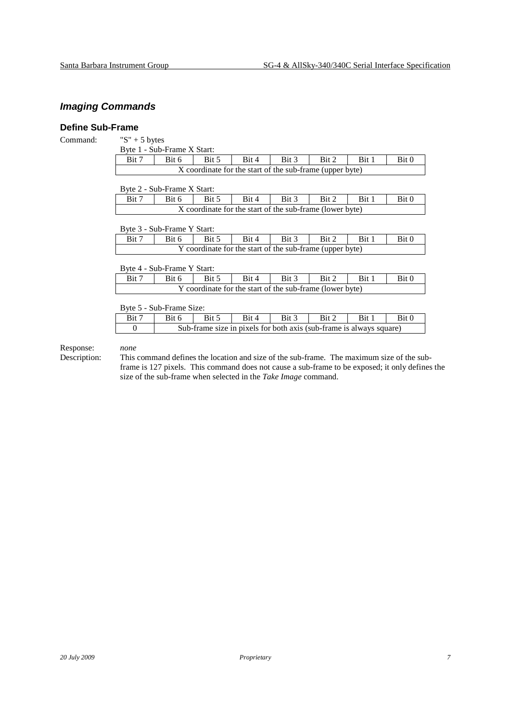# **Imaging Commands**

 $\mathsf T$ 

### **Define Sub-Frame**

| Command: |  |
|----------|--|
|          |  |

| " $S$ " + 5 bytes         |  |
|---------------------------|--|
| Byte 1 - Sub-Frame X Star |  |

|                                                          | Byte 1 - Sub-Frame X Start: |       |       |       |       |       |       |
|----------------------------------------------------------|-----------------------------|-------|-------|-------|-------|-------|-------|
| Bit 7                                                    | Bit 6                       | Bit 5 | Bit 4 | Bit 3 | Bit 2 | Bit 1 | Bit 0 |
| X coordinate for the start of the sub-frame (upper byte) |                             |       |       |       |       |       |       |

|                                                          | Byte 2 - Sub-Frame X Start: |       |       |       |       |       |       |
|----------------------------------------------------------|-----------------------------|-------|-------|-------|-------|-------|-------|
| Bit 7                                                    | Bit 6                       | Bit 5 | Bit 4 | Bit 3 | Bit 2 | Bit 1 | Bit 0 |
| X coordinate for the start of the sub-frame (lower byte) |                             |       |       |       |       |       |       |

Byte 3 - Sub-Frame Y Start:

| Bit 7                                                    | Bit 6 | Bit 5 | Bit 4 | $\cdot$ 1 Bit 3 | Bit 2 | Bit 1 | Bit 0 |
|----------------------------------------------------------|-------|-------|-------|-----------------|-------|-------|-------|
| Y coordinate for the start of the sub-frame (upper byte) |       |       |       |                 |       |       |       |

|                                                          | Byte 4 - Sub-Frame Y Start: |       |       |       |       |       |       |
|----------------------------------------------------------|-----------------------------|-------|-------|-------|-------|-------|-------|
| Bit 7                                                    | Bit 6                       | Bit 5 | Bit 4 | Bit 3 | Bit 2 | Bit 1 | Bit 0 |
| Y coordinate for the start of the sub-frame (lower byte) |                             |       |       |       |       |       |       |

Byte 5 - Sub-Frame Size:

| -     |       |       |       |                                                                     |       |       |       |  |
|-------|-------|-------|-------|---------------------------------------------------------------------|-------|-------|-------|--|
| Bit 7 | Bit 6 | Bit 5 | Bit 4 | Bit 3                                                               | Bit 2 | Bit 1 | Bit 0 |  |
|       |       |       |       | Sub-frame size in pixels for both axis (sub-frame is always square) |       |       |       |  |

Response: *none*<br>Description: This

This command defines the location and size of the sub-frame. The maximum size of the subframe is 127 pixels. This command does not cause a sub-frame to be exposed; it only defines the size of the sub-frame when selected in the *Take Image* command.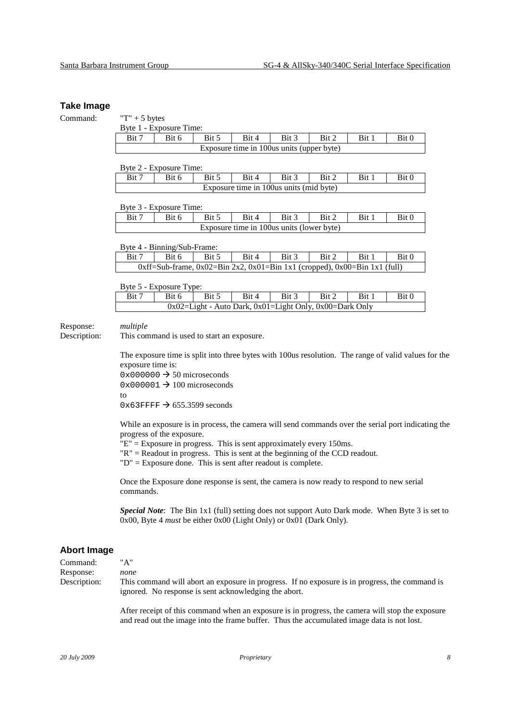#### **Take Image**

| Command:                  | $T + 5$ bytes                                                                                                                                                                                                                                                                                                                                                |                             |                    |                                                                                             |       |       |       |                                                                                           |  |  |  |  |
|---------------------------|--------------------------------------------------------------------------------------------------------------------------------------------------------------------------------------------------------------------------------------------------------------------------------------------------------------------------------------------------------------|-----------------------------|--------------------|---------------------------------------------------------------------------------------------|-------|-------|-------|-------------------------------------------------------------------------------------------|--|--|--|--|
|                           |                                                                                                                                                                                                                                                                                                                                                              | Byte 1 - Exposure Time:     |                    |                                                                                             |       |       |       |                                                                                           |  |  |  |  |
|                           | Bit 7                                                                                                                                                                                                                                                                                                                                                        | Bit 6                       | $\overline{Bit 5}$ | Bit 4                                                                                       | Bit 3 | Bit 2 | Bit 1 | Bit 0                                                                                     |  |  |  |  |
|                           |                                                                                                                                                                                                                                                                                                                                                              |                             |                    | Exposure time in 100us units (upper byte)                                                   |       |       |       |                                                                                           |  |  |  |  |
|                           |                                                                                                                                                                                                                                                                                                                                                              | Byte 2 - Exposure Time:     |                    |                                                                                             |       |       |       |                                                                                           |  |  |  |  |
|                           | Bit 7                                                                                                                                                                                                                                                                                                                                                        | Bit 6                       | Bit 5              | Bit 4                                                                                       | Bit 3 | Bit 2 | Bit 1 | Bit 0                                                                                     |  |  |  |  |
|                           |                                                                                                                                                                                                                                                                                                                                                              |                             |                    | Exposure time in 100us units (mid byte)                                                     |       |       |       |                                                                                           |  |  |  |  |
|                           |                                                                                                                                                                                                                                                                                                                                                              | Byte 3 - Exposure Time:     |                    |                                                                                             |       |       |       |                                                                                           |  |  |  |  |
|                           | Bit 7                                                                                                                                                                                                                                                                                                                                                        | Bit 6                       | Bit 5              | Bit 4                                                                                       | Bit 3 | Bit 2 | Bit 1 | Bit 0                                                                                     |  |  |  |  |
|                           |                                                                                                                                                                                                                                                                                                                                                              |                             |                    | Exposure time in 100us units (lower byte)                                                   |       |       |       |                                                                                           |  |  |  |  |
|                           |                                                                                                                                                                                                                                                                                                                                                              | Byte 4 - Binning/Sub-Frame: |                    |                                                                                             |       |       |       |                                                                                           |  |  |  |  |
|                           | Bit 7                                                                                                                                                                                                                                                                                                                                                        | Bit 6                       | Bit 5              | Bit 4                                                                                       | Bit 3 | Bit 2 | Bit 1 | Bit 0                                                                                     |  |  |  |  |
|                           |                                                                                                                                                                                                                                                                                                                                                              |                             |                    | $0xff = Sub-frame$ , $0x02 = Bin 2x2$ , $0x01 = Bin 1x1$ (cropped), $0x00 = Bin 1x1$ (full) |       |       |       |                                                                                           |  |  |  |  |
|                           | Byte 5 - Exposure Type:                                                                                                                                                                                                                                                                                                                                      |                             |                    |                                                                                             |       |       |       |                                                                                           |  |  |  |  |
|                           | Bit 7                                                                                                                                                                                                                                                                                                                                                        | Bit 6                       | Bit 5              | Bit 4                                                                                       | Bit 3 | Bit 2 | Bit 1 | Bit 0                                                                                     |  |  |  |  |
|                           |                                                                                                                                                                                                                                                                                                                                                              |                             |                    | 0x02=Light - Auto Dark, 0x01=Light Only, 0x00=Dark Only                                     |       |       |       |                                                                                           |  |  |  |  |
| Response:<br>Description: | multiple<br>This command is used to start an exposure.                                                                                                                                                                                                                                                                                                       |                             |                    |                                                                                             |       |       |       |                                                                                           |  |  |  |  |
|                           | The exposure time is split into three bytes with 100us resolution. The range of valid values for the<br>exposure time is:                                                                                                                                                                                                                                    |                             |                    |                                                                                             |       |       |       |                                                                                           |  |  |  |  |
|                           | $0 \times 000000 \rightarrow 50$ microseconds                                                                                                                                                                                                                                                                                                                |                             |                    |                                                                                             |       |       |       |                                                                                           |  |  |  |  |
|                           | $0 \times 000001 \rightarrow 100$ microseconds                                                                                                                                                                                                                                                                                                               |                             |                    |                                                                                             |       |       |       |                                                                                           |  |  |  |  |
|                           | to                                                                                                                                                                                                                                                                                                                                                           |                             |                    |                                                                                             |       |       |       |                                                                                           |  |  |  |  |
|                           | $0 \times 63$ FFFF $\rightarrow 655.3599$ seconds                                                                                                                                                                                                                                                                                                            |                             |                    |                                                                                             |       |       |       |                                                                                           |  |  |  |  |
|                           | While an exposure is in process, the camera will send commands over the serial port indicating the<br>progress of the exposure.<br>$"E"$ = Exposure in progress. This is sent approximately every 150ms.<br>$"R"$ = Readout in progress. This is sent at the beginning of the CCD readout.<br>$"D" =$ Exposure done. This is sent after readout is complete. |                             |                    |                                                                                             |       |       |       |                                                                                           |  |  |  |  |
|                           | commands.                                                                                                                                                                                                                                                                                                                                                    |                             |                    |                                                                                             |       |       |       | Once the Exposure done response is sent, the camera is now ready to respond to new serial |  |  |  |  |

*Special Note*: The Bin 1x1 (full) setting does not support Auto Dark mode. When Byte 3 is set to 0x00, Byte 4 *must* be either 0x00 (Light Only) or 0x01 (Dark Only).

### **Abort Image**

| Command:     | " ^ "                                                                                                                                                   |
|--------------|---------------------------------------------------------------------------------------------------------------------------------------------------------|
| Response:    | none                                                                                                                                                    |
| Description: | This command will abort an exposure in progress. If no exposure is in progress, the command is<br>ignored. No response is sent acknowledging the abort. |

After receipt of this command when an exposure is in progress, the camera will stop the exposure and read out the image into the frame buffer. Thus the accumulated image data is not lost.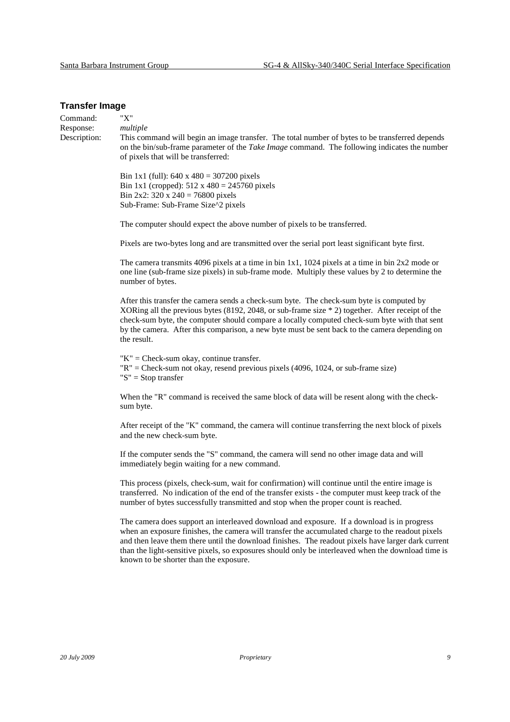#### **Transfer Image**

Command: "X" Response: *multiple*  Description: This command will begin an image transfer. The total number of bytes to be transferred depends on the bin/sub-frame parameter of the *Take Image* command. The following indicates the number of pixels that will be transferred: Bin 1x1 (full):  $640 \times 480 = 307200$  pixels Bin 1x1 (cropped):  $512 \times 480 = 245760$  pixels Bin 2x2: 320 x 240 = 76800 pixels Sub-Frame: Sub-Frame Size^2 pixels The computer should expect the above number of pixels to be transferred. Pixels are two-bytes long and are transmitted over the serial port least significant byte first. The camera transmits 4096 pixels at a time in bin 1x1, 1024 pixels at a time in bin 2x2 mode or one line (sub-frame size pixels) in sub-frame mode. Multiply these values by 2 to determine the number of bytes. After this transfer the camera sends a check-sum byte. The check-sum byte is computed by XORing all the previous bytes (8192, 2048, or sub-frame size \* 2) together. After receipt of the check-sum byte, the computer should compare a locally computed check-sum byte with that sent by the camera. After this comparison, a new byte must be sent back to the camera depending on the result.  $"K" = Check-sum okay, continue transfer.$  "R" = Check-sum not okay, resend previous pixels (4096, 1024, or sub-frame size) "S" = Stop transfer When the "R" command is received the same block of data will be resent along with the checksum byte. After receipt of the "K" command, the camera will continue transferring the next block of pixels and the new check-sum byte. If the computer sends the "S" command, the camera will send no other image data and will immediately begin waiting for a new command. This process (pixels, check-sum, wait for confirmation) will continue until the entire image is transferred. No indication of the end of the transfer exists - the computer must keep track of the number of bytes successfully transmitted and stop when the proper count is reached. The camera does support an interleaved download and exposure. If a download is in progress when an exposure finishes, the camera will transfer the accumulated charge to the readout pixels and then leave them there until the download finishes. The readout pixels have larger dark current than the light-sensitive pixels, so exposures should only be interleaved when the download time is

known to be shorter than the exposure.